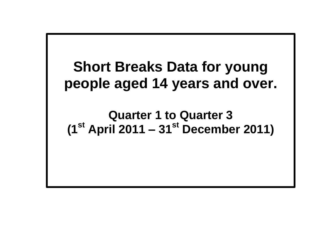**Short Breaks Data for young people aged 14 years and over.**

**Quarter 1 to Quarter 3 (1st April 2011 – 31st December 2011)**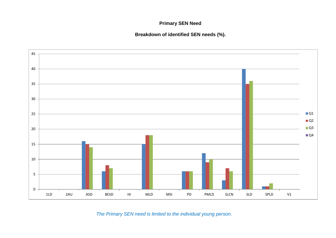## **Primary SEN Need**

**Breakdown of identified SEN needs (%).**



*The Primary SEN need is limited to the individual young person.*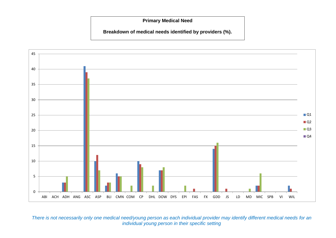**Primary Medical Need**

**Breakdown of medical needs identified by providers (%).**



*There is not necessarily only one medical need/young person as each individual provider may identify different medical needs for an individual young person in their specific setting*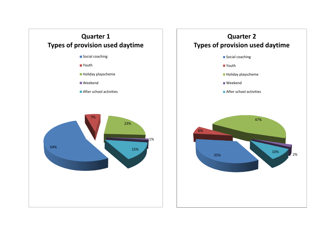

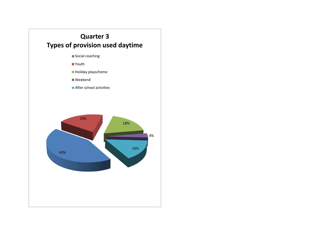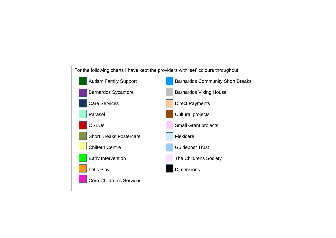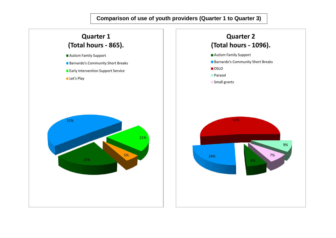**Comparison of use of youth providers (Quarter 1 to Quarter 3)**